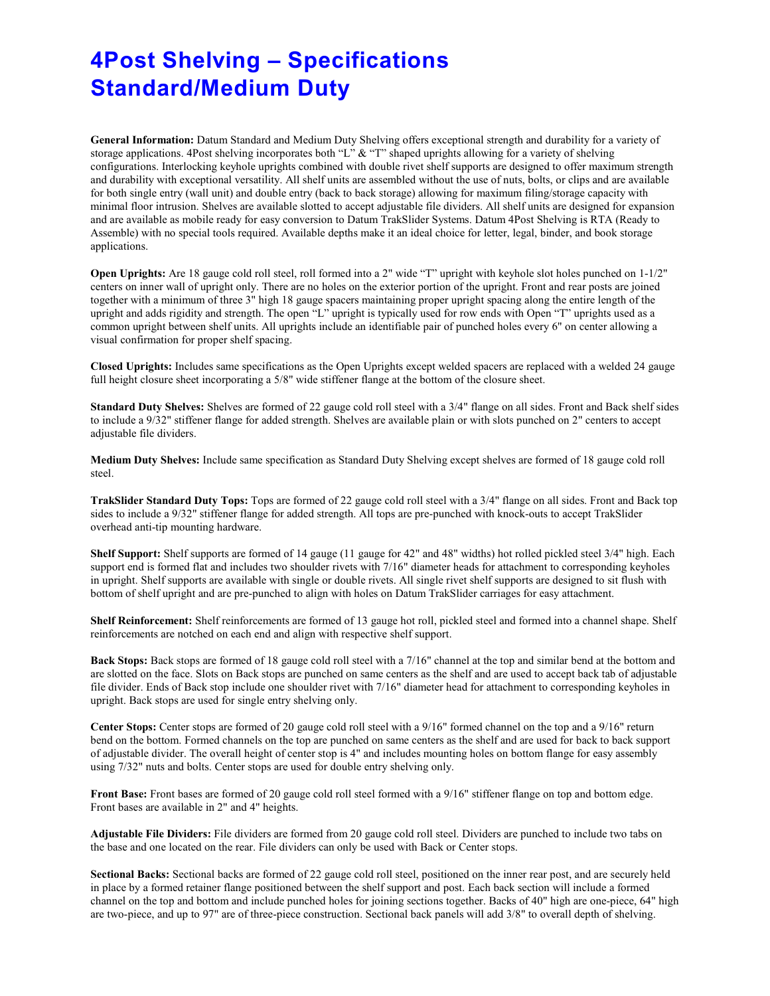## **4Post Shelving – Specifications Standard/Medium Duty**

**General Information:** Datum Standard and Medium Duty Shelving offers exceptional strength and durability for a variety of storage applications. 4Post shelving incorporates both "L" & "T" shaped uprights allowing for a variety of shelving configurations. Interlocking keyhole uprights combined with double rivet shelf supports are designed to offer maximum strength and durability with exceptional versatility. All shelf units are assembled without the use of nuts, bolts, or clips and are available for both single entry (wall unit) and double entry (back to back storage) allowing for maximum filing/storage capacity with minimal floor intrusion. Shelves are available slotted to accept adjustable file dividers. All shelf units are designed for expansion and are available as mobile ready for easy conversion to Datum TrakSlider Systems. Datum 4Post Shelving is RTA (Ready to Assemble) with no special tools required. Available depths make it an ideal choice for letter, legal, binder, and book storage applications.

**Open Uprights:** Are 18 gauge cold roll steel, roll formed into a 2" wide "T" upright with keyhole slot holes punched on 1-1/2" centers on inner wall of upright only. There are no holes on the exterior portion of the upright. Front and rear posts are joined together with a minimum of three 3" high 18 gauge spacers maintaining proper upright spacing along the entire length of the upright and adds rigidity and strength. The open "L" upright is typically used for row ends with Open "T" uprights used as a common upright between shelf units. All uprights include an identifiable pair of punched holes every 6" on center allowing a visual confirmation for proper shelf spacing.

**Closed Uprights:** Includes same specifications as the Open Uprights except welded spacers are replaced with a welded 24 gauge full height closure sheet incorporating a 5/8" wide stiffener flange at the bottom of the closure sheet.

**Standard Duty Shelves:** Shelves are formed of 22 gauge cold roll steel with a 3/4" flange on all sides. Front and Back shelf sides to include a 9/32" stiffener flange for added strength. Shelves are available plain or with slots punched on 2" centers to accept adjustable file dividers.

**Medium Duty Shelves:** Include same specification as Standard Duty Shelving except shelves are formed of 18 gauge cold roll steel.

**TrakSlider Standard Duty Tops:** Tops are formed of 22 gauge cold roll steel with a 3/4" flange on all sides. Front and Back top sides to include a 9/32" stiffener flange for added strength. All tops are pre-punched with knock-outs to accept TrakSlider overhead anti-tip mounting hardware.

**Shelf Support:** Shelf supports are formed of 14 gauge (11 gauge for 42" and 48" widths) hot rolled pickled steel 3/4" high. Each support end is formed flat and includes two shoulder rivets with 7/16" diameter heads for attachment to corresponding keyholes in upright. Shelf supports are available with single or double rivets. All single rivet shelf supports are designed to sit flush with bottom of shelf upright and are pre-punched to align with holes on Datum TrakSlider carriages for easy attachment.

**Shelf Reinforcement:** Shelf reinforcements are formed of 13 gauge hot roll, pickled steel and formed into a channel shape. Shelf reinforcements are notched on each end and align with respective shelf support.

**Back Stops:** Back stops are formed of 18 gauge cold roll steel with a 7/16" channel at the top and similar bend at the bottom and are slotted on the face. Slots on Back stops are punched on same centers as the shelf and are used to accept back tab of adjustable file divider. Ends of Back stop include one shoulder rivet with 7/16" diameter head for attachment to corresponding keyholes in upright. Back stops are used for single entry shelving only.

**Center Stops:** Center stops are formed of 20 gauge cold roll steel with a 9/16" formed channel on the top and a 9/16" return bend on the bottom. Formed channels on the top are punched on same centers as the shelf and are used for back to back support of adjustable divider. The overall height of center stop is 4" and includes mounting holes on bottom flange for easy assembly using 7/32" nuts and bolts. Center stops are used for double entry shelving only.

**Front Base:** Front bases are formed of 20 gauge cold roll steel formed with a 9/16" stiffener flange on top and bottom edge. Front bases are available in 2" and 4" heights.

**Adjustable File Dividers:** File dividers are formed from 20 gauge cold roll steel. Dividers are punched to include two tabs on the base and one located on the rear. File dividers can only be used with Back or Center stops.

**Sectional Backs:** Sectional backs are formed of 22 gauge cold roll steel, positioned on the inner rear post, and are securely held in place by a formed retainer flange positioned between the shelf support and post. Each back section will include a formed channel on the top and bottom and include punched holes for joining sections together. Backs of 40" high are one-piece, 64" high are two-piece, and up to 97" are of three-piece construction. Sectional back panels will add 3/8" to overall depth of shelving.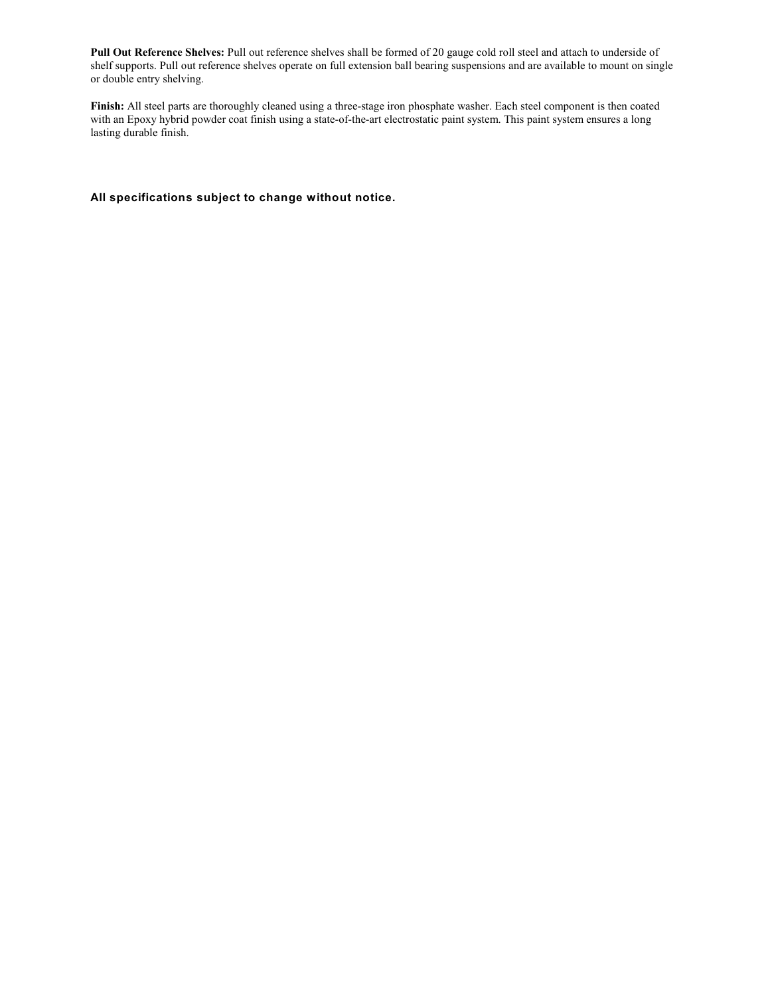**Pull Out Reference Shelves:** Pull out reference shelves shall be formed of 20 gauge cold roll steel and attach to underside of shelf supports. Pull out reference shelves operate on full extension ball bearing suspensions and are available to mount on single or double entry shelving.

**Finish:** All steel parts are thoroughly cleaned using a three-stage iron phosphate washer. Each steel component is then coated with an Epoxy hybrid powder coat finish using a state-of-the-art electrostatic paint system. This paint system ensures a long lasting durable finish.

**All specifications subject to change without notice.**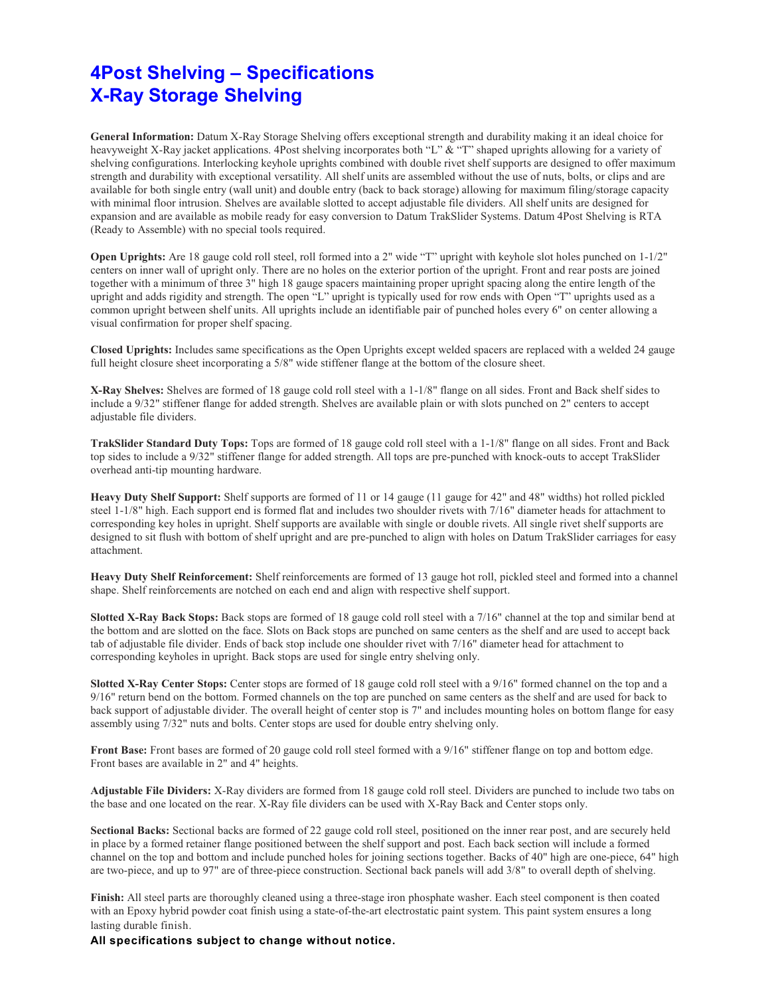## **4Post Shelving – Specifications X-Ray Storage Shelving**

**General Information:** Datum X-Ray Storage Shelving offers exceptional strength and durability making it an ideal choice for heavyweight X-Ray jacket applications. 4Post shelving incorporates both "L" & "T" shaped uprights allowing for a variety of shelving configurations. Interlocking keyhole uprights combined with double rivet shelf supports are designed to offer maximum strength and durability with exceptional versatility. All shelf units are assembled without the use of nuts, bolts, or clips and are available for both single entry (wall unit) and double entry (back to back storage) allowing for maximum filing/storage capacity with minimal floor intrusion. Shelves are available slotted to accept adjustable file dividers. All shelf units are designed for expansion and are available as mobile ready for easy conversion to Datum TrakSlider Systems. Datum 4Post Shelving is RTA (Ready to Assemble) with no special tools required.

**Open Uprights:** Are 18 gauge cold roll steel, roll formed into a 2" wide "T" upright with keyhole slot holes punched on 1-1/2" centers on inner wall of upright only. There are no holes on the exterior portion of the upright. Front and rear posts are joined together with a minimum of three 3" high 18 gauge spacers maintaining proper upright spacing along the entire length of the upright and adds rigidity and strength. The open "L" upright is typically used for row ends with Open "T" uprights used as a common upright between shelf units. All uprights include an identifiable pair of punched holes every 6" on center allowing a visual confirmation for proper shelf spacing.

**Closed Uprights:** Includes same specifications as the Open Uprights except welded spacers are replaced with a welded 24 gauge full height closure sheet incorporating a 5/8" wide stiffener flange at the bottom of the closure sheet.

**X-Ray Shelves:** Shelves are formed of 18 gauge cold roll steel with a 1-1/8" flange on all sides. Front and Back shelf sides to include a 9/32" stiffener flange for added strength. Shelves are available plain or with slots punched on 2" centers to accept adjustable file dividers.

**TrakSlider Standard Duty Tops:** Tops are formed of 18 gauge cold roll steel with a 1-1/8" flange on all sides. Front and Back top sides to include a 9/32" stiffener flange for added strength. All tops are pre-punched with knock-outs to accept TrakSlider overhead anti-tip mounting hardware.

**Heavy Duty Shelf Support:** Shelf supports are formed of 11 or 14 gauge (11 gauge for 42" and 48" widths) hot rolled pickled steel 1-1/8" high. Each support end is formed flat and includes two shoulder rivets with 7/16" diameter heads for attachment to corresponding key holes in upright. Shelf supports are available with single or double rivets. All single rivet shelf supports are designed to sit flush with bottom of shelf upright and are pre-punched to align with holes on Datum TrakSlider carriages for easy attachment.

**Heavy Duty Shelf Reinforcement:** Shelf reinforcements are formed of 13 gauge hot roll, pickled steel and formed into a channel shape. Shelf reinforcements are notched on each end and align with respective shelf support.

**Slotted X-Ray Back Stops:** Back stops are formed of 18 gauge cold roll steel with a 7/16" channel at the top and similar bend at the bottom and are slotted on the face. Slots on Back stops are punched on same centers as the shelf and are used to accept back tab of adjustable file divider. Ends of back stop include one shoulder rivet with 7/16" diameter head for attachment to corresponding keyholes in upright. Back stops are used for single entry shelving only.

**Slotted X-Ray Center Stops:** Center stops are formed of 18 gauge cold roll steel with a 9/16" formed channel on the top and a 9/16" return bend on the bottom. Formed channels on the top are punched on same centers as the shelf and are used for back to back support of adjustable divider. The overall height of center stop is 7" and includes mounting holes on bottom flange for easy assembly using 7/32" nuts and bolts. Center stops are used for double entry shelving only.

**Front Base:** Front bases are formed of 20 gauge cold roll steel formed with a 9/16" stiffener flange on top and bottom edge. Front bases are available in 2" and 4" heights.

**Adjustable File Dividers:** X-Ray dividers are formed from 18 gauge cold roll steel. Dividers are punched to include two tabs on the base and one located on the rear. X-Ray file dividers can be used with X-Ray Back and Center stops only.

**Sectional Backs:** Sectional backs are formed of 22 gauge cold roll steel, positioned on the inner rear post, and are securely held in place by a formed retainer flange positioned between the shelf support and post. Each back section will include a formed channel on the top and bottom and include punched holes for joining sections together. Backs of 40" high are one-piece, 64" high are two-piece, and up to 97" are of three-piece construction. Sectional back panels will add 3/8" to overall depth of shelving.

**Finish:** All steel parts are thoroughly cleaned using a three-stage iron phosphate washer. Each steel component is then coated with an Epoxy hybrid powder coat finish using a state-of-the-art electrostatic paint system. This paint system ensures a long lasting durable finish.

**All specifications subject to change without notice.**